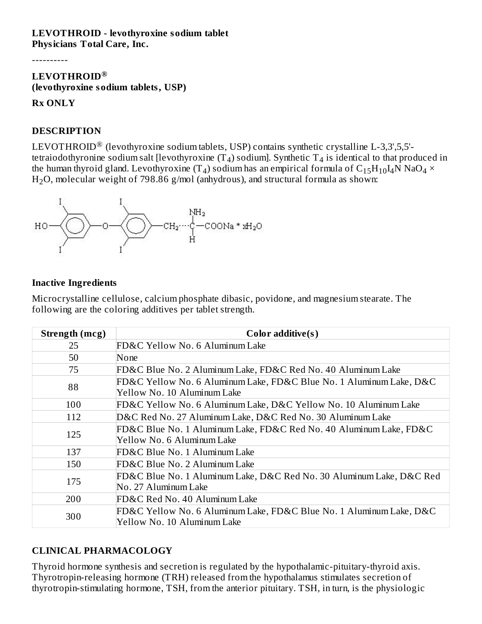#### **LEVOTHROID - levothyroxine sodium tablet Physicians Total Care, Inc.**

----------

**LEVOTHROID ® (levothyroxine sodium tablets, USP)**

#### **Rx ONLY**

#### **DESCRIPTION**

LEVOTHROID<sup>®</sup> (levothyroxine sodium tablets, USP) contains synthetic crystalline L-3,3',5,5'tetraiodothyronine sodium salt [levothyroxine (T<sub>4</sub>) sodium]. Synthetic T<sub>4</sub> is identical to that produced in the human thyroid gland. Levothyroxine (T<sub>4</sub>) sodium has an empirical formula of  $\rm{C_{15}H_{10}I_4N}$  NaO $_4$   $\times$  $\rm H_2O$ , molecular weight of 798.86 g/mol (anhydrous), and structural formula as shown:



#### **Inactive Ingredients**

Microcrystalline cellulose, calcium phosphate dibasic, povidone, and magnesium stearate. The following are the coloring additives per tablet strength.

| Strength (mcg) | Color additive(s)                                                                                  |
|----------------|----------------------------------------------------------------------------------------------------|
| 25             | FD&C Yellow No. 6 Aluminum Lake                                                                    |
| 50             | None                                                                                               |
| 75             | FD&C Blue No. 2 Aluminum Lake, FD&C Red No. 40 Aluminum Lake                                       |
| 88             | FD&C Yellow No. 6 Aluminum Lake, FD&C Blue No. 1 Aluminum Lake, D&C<br>Yellow No. 10 Aluminum Lake |
| 100            | FD&C Yellow No. 6 Aluminum Lake, D&C Yellow No. 10 Aluminum Lake                                   |
| 112            | D&C Red No. 27 Aluminum Lake, D&C Red No. 30 Aluminum Lake                                         |
| 125            | FD&C Blue No. 1 Aluminum Lake, FD&C Red No. 40 Aluminum Lake, FD&C<br>Yellow No. 6 Aluminum Lake   |
| 137            | FD&C Blue No. 1 Aluminum Lake                                                                      |
| 150            | FD&C Blue No. 2 Aluminum Lake                                                                      |
| 175            | FD&C Blue No. 1 Aluminum Lake, D&C Red No. 30 Aluminum Lake, D&C Red<br>No. 27 Aluminum Lake       |
| 200            | FD&C Red No. 40 Aluminum Lake                                                                      |
| 300            | FD&C Yellow No. 6 Aluminum Lake, FD&C Blue No. 1 Aluminum Lake, D&C<br>Yellow No. 10 Aluminum Lake |

#### **CLINICAL PHARMACOLOGY**

Thyroid hormone synthesis and secretion is regulated by the hypothalamic-pituitary-thyroid axis. Thyrotropin-releasing hormone (TRH) released from the hypothalamus stimulates secretion of thyrotropin-stimulating hormone, TSH, from the anterior pituitary. TSH, in turn, is the physiologic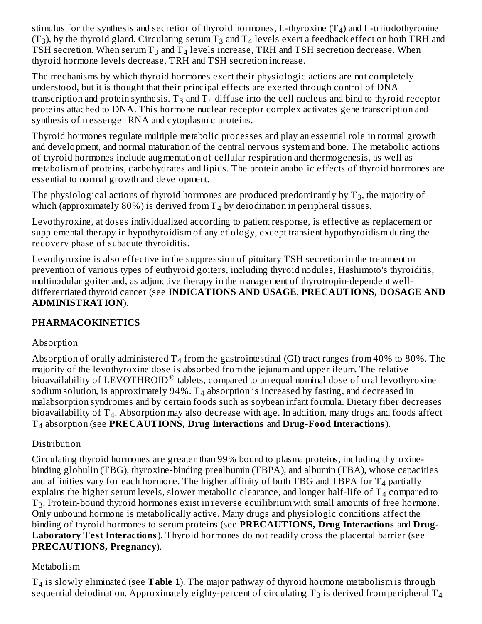stimulus for the synthesis and secretion of thyroid hormones, L-thyroxine  $(T_4)$  and L-triiodothyronine (T<sub>3</sub>), by the thyroid gland. Circulating serum T<sub>3</sub> and T<sub>4</sub> levels exert a feedback effect on both TRH and TSH secretion. When serum T $_3$  and T $_4$  levels increase, TRH and TSH secretion decrease. When thyroid hormone levels decrease, TRH and TSH secretion increase.

The mechanisms by which thyroid hormones exert their physiologic actions are not completely understood, but it is thought that their principal effects are exerted through control of DNA transcription and protein synthesis.  $\text{T}_3$  and  $\text{T}_4$  diffuse into the cell nucleus and bind to thyroid receptor proteins attached to DNA. This hormone nuclear receptor complex activates gene transcription and synthesis of messenger RNA and cytoplasmic proteins.

Thyroid hormones regulate multiple metabolic processes and play an essential role in normal growth and development, and normal maturation of the central nervous system and bone. The metabolic actions of thyroid hormones include augmentation of cellular respiration and thermogenesis, as well as metabolism of proteins, carbohydrates and lipids. The protein anabolic effects of thyroid hormones are essential to normal growth and development.

The physiological actions of thyroid hormones are produced predominantly by  $\text{T}_3$ , the majority of which (approximately 80%) is derived from  $T_4$  by deiodination in peripheral tissues.

Levothyroxine, at doses individualized according to patient response, is effective as replacement or supplemental therapy in hypothyroidism of any etiology, except transient hypothyroidism during the recovery phase of subacute thyroiditis.

Levothyroxine is also effective in the suppression of pituitary TSH secretion in the treatment or prevention of various types of euthyroid goiters, including thyroid nodules, Hashimoto's thyroiditis, multinodular goiter and, as adjunctive therapy in the management of thyrotropin-dependent welldifferentiated thyroid cancer (see **INDICATIONS AND USAGE**, **PRECAUTIONS, DOSAGE AND ADMINISTRATION**).

## **PHARMACOKINETICS**

## Absorption

Absorption of orally administered T<sub>4</sub> from the gastrointestinal (GI) tract ranges from 40% to 80%. The majority of the levothyroxine dose is absorbed from the jejunum and upper ileum. The relative bioavailability of LEVOTHROID<sup>®</sup> tablets, compared to an equal nominal dose of oral levothyroxine sodium solution, is approximately 94%.  $\mathrm{T}_4$  absorption is increased by fasting, and decreased in malabsorption syndromes and by certain foods such as soybean infant formula. Dietary fiber decreases bioavailability of  $\texttt{T}_4$ . Absorption may also decrease with age. In addition, many drugs and foods affect T absorption (see **PRECAUTIONS, Drug Interactions** and **Drug-Food Interactions**). 4

## **Distribution**

Circulating thyroid hormones are greater than 99% bound to plasma proteins, including thyroxinebinding globulin (TBG), thyroxine-binding prealbumin (TBPA), and albumin (TBA), whose capacities and affinities vary for each hormone. The higher affinity of both TBG and TBPA for  $T_4$  partially explains the higher serum levels, slower metabolic clearance, and longer half-life of  $\texttt{T}_4$  compared to  $T_3$ . Protein-bound thyroid hormones exist in reverse equilibrium with small amounts of free hormone. Only unbound hormone is metabolically active. Many drugs and physiologic conditions affect the binding of thyroid hormones to serum proteins (see **PRECAUTIONS, Drug Interactions** and **Drug-Laboratory Test Interactions**). Thyroid hormones do not readily cross the placental barrier (see **PRECAUTIONS, Pregnancy**).

#### Metabolism

 $T_4$  is slowly eliminated (see  $T$ able 1). The major pathway of thyroid hormone metabolism is through sequential deiodination. Approximately eighty-percent of circulating  $\text{T}_3$  is derived from peripheral  $\text{T}_4$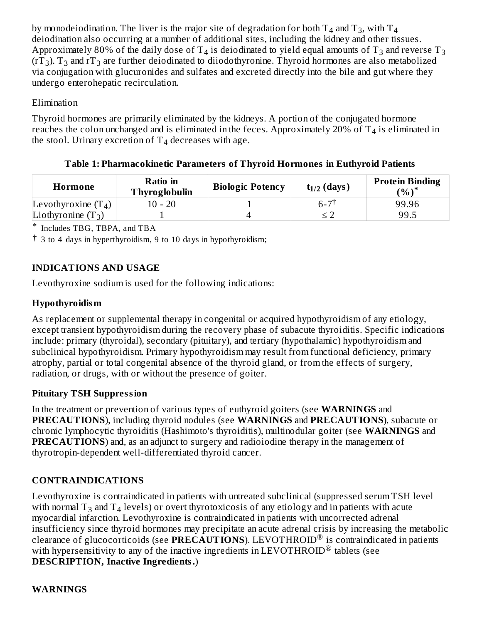by monodeiodination. The liver is the major site of degradation for both  $T_4$  and  $T_3$ , with T, deiodination also occurring at a number of additional sites, including the kidney and other tissues. Approximately 80% of the daily dose of  ${\tt T}_4$  is deiodinated to yield equal amounts of  ${\tt T}_3$  and reverse  ${\tt T}_3$ (rT<sub>3</sub>). T<sub>3</sub> and rT<sub>3</sub> are further deiodinated to diiodothyronine. Thyroid hormones are also metabolized via conjugation with glucuronides and sulfates and excreted directly into the bile and gut where they undergo enterohepatic recirculation. en andere stad in de stad in de stad in de stad in de stad in de stad in de stad in de stad in de stad in de<br>Stad in de stad in de stad in de stad in de stad in de stad in de stad in de stad in de stad in de stad in de  $_4$  and 1<sub>3</sub>, with 1<sub>4</sub>

## Elimination

Thyroid hormones are primarily eliminated by the kidneys. A portion of the conjugated hormone reaches the colon unchanged and is eliminated in the feces. Approximately 20% of T<sub>4</sub> is eliminated in the stool. Urinary excretion of  $T_{4}$  decreases with age.

| Table 1: Pharmacokinetic Parameters of Thyroid Hormones in Euthyroid Patients |  |  |  |
|-------------------------------------------------------------------------------|--|--|--|
|                                                                               |  |  |  |

| Hormone               | <b>Ratio in</b><br><b>Thyroglobulin</b> | <b>Biologic Potency</b> | $t_{1/2}$ (days) | <b>Protein Binding</b><br>$(%)^*$ |
|-----------------------|-----------------------------------------|-------------------------|------------------|-----------------------------------|
| Levothyroxine $(T_4)$ | $10 - 20$                               |                         | $6 - 71$         | 99.96                             |
| Liothyronine $(T_3)$  |                                         |                         |                  | 99.5                              |

\* Includes TBG, TBPA, and TBA

† 3 to 4 days in hyperthyroidism, 9 to 10 days in hypothyroidism;

# **INDICATIONS AND USAGE**

Levothyroxine sodium is used for the following indications:

## **Hypothyroidism**

As replacement or supplemental therapy in congenital or acquired hypothyroidism of any etiology, except transient hypothyroidism during the recovery phase of subacute thyroiditis. Specific indications include: primary (thyroidal), secondary (pituitary), and tertiary (hypothalamic) hypothyroidism and subclinical hypothyroidism. Primary hypothyroidism may result from functional deficiency, primary atrophy, partial or total congenital absence of the thyroid gland, or from the effects of surgery, radiation, or drugs, with or without the presence of goiter.

## **Pituitary TSH Suppression**

In the treatment or prevention of various types of euthyroid goiters (see **WARNINGS** and **PRECAUTIONS**), including thyroid nodules (see **WARNINGS** and **PRECAUTIONS**), subacute or chronic lymphocytic thyroiditis (Hashimoto's thyroiditis), multinodular goiter (see **WARNINGS** and **PRECAUTIONS**) and, as an adjunct to surgery and radioiodine therapy in the management of thyrotropin-dependent well-differentiated thyroid cancer.

# **CONTRAINDICATIONS**

Levothyroxine is contraindicated in patients with untreated subclinical (suppressed serum TSH level with normal T<sub>3</sub> and T<sub>4</sub> levels) or overt thyrotoxicosis of any etiology and in patients with acute myocardial infarction. Levothyroxine is contraindicated in patients with uncorrected adrenal insufficiency since thyroid hormones may precipitate an acute adrenal crisis by increasing the metabolic clearance of glucocorticoids (see PRECAUTIONS). LEVOTHROID® is contraindicated in patients with hypersensitivity to any of the inactive ingredients in LEVOTHROID $^{\circledR}$  tablets (see **DESCRIPTION, Inactive Ingredients.**)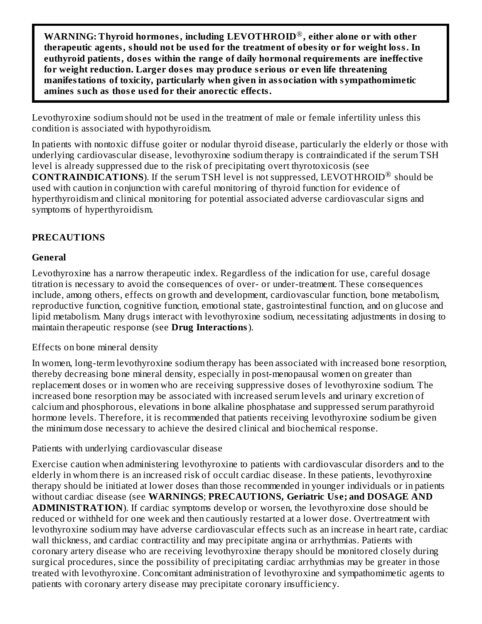**WARNING: Thyroid hormones, including LEVOTHROID , either alone or with other** ® **therapeutic agents, should not be us ed for the treatment of obesity or for weight loss. In euthyroid patients, dos es within the range of daily hormonal requirements are ineffective for weight reduction. Larger dos es may produce s erious or even life threatening manifestations of toxicity, particularly when given in association with sympathomimetic amines such as thos e us ed for their anorectic effects.**

Levothyroxine sodium should not be used in the treatment of male or female infertility unless this condition is associated with hypothyroidism.

In patients with nontoxic diffuse goiter or nodular thyroid disease, particularly the elderly or those with underlying cardiovascular disease, levothyroxine sodium therapy is contraindicated if the serum TSH level is already suppressed due to the risk of precipitating overt thyrotoxicosis (see **CONTRAINDICATIONS**). If the serum TSH level is not suppressed, LEVOTHROID<sup>®</sup> should be used with caution in conjunction with careful monitoring of thyroid function for evidence of hyperthyroidism and clinical monitoring for potential associated adverse cardiovascular signs and symptoms of hyperthyroidism.

### **PRECAUTIONS**

### **General**

Levothyroxine has a narrow therapeutic index. Regardless of the indication for use, careful dosage titration is necessary to avoid the consequences of over- or under-treatment. These consequences include, among others, effects on growth and development, cardiovascular function, bone metabolism, reproductive function, cognitive function, emotional state, gastrointestinal function, and on glucose and lipid metabolism. Many drugs interact with levothyroxine sodium, necessitating adjustments in dosing to maintain therapeutic response (see **Drug Interactions**).

#### Effects on bone mineral density

In women, long-term levothyroxine sodium therapy has been associated with increased bone resorption, thereby decreasing bone mineral density, especially in post-menopausal women on greater than replacement doses or in women who are receiving suppressive doses of levothyroxine sodium. The increased bone resorption may be associated with increased serum levels and urinary excretion of calcium and phosphorous, elevations in bone alkaline phosphatase and suppressed serum parathyroid hormone levels. Therefore, it is recommended that patients receiving levothyroxine sodium be given the minimum dose necessary to achieve the desired clinical and biochemical response.

#### Patients with underlying cardiovascular disease

Exercise caution when administering levothyroxine to patients with cardiovascular disorders and to the elderly in whom there is an increased risk of occult cardiac disease. In these patients, levothyroxine therapy should be initiated at lower doses than those recommended in younger individuals or in patients without cardiac disease (see **WARNINGS**; **PRECAUTIONS, Geriatric Us e; and DOSAGE AND ADMINISTRATION**). If cardiac symptoms develop or worsen, the levothyroxine dose should be reduced or withheld for one week and then cautiously restarted at a lower dose. Overtreatment with levothyroxine sodium may have adverse cardiovascular effects such as an increase in heart rate, cardiac wall thickness, and cardiac contractility and may precipitate angina or arrhythmias. Patients with coronary artery disease who are receiving levothyroxine therapy should be monitored closely during surgical procedures, since the possibility of precipitating cardiac arrhythmias may be greater in those treated with levothyroxine. Concomitant administration of levothyroxine and sympathomimetic agents to patients with coronary artery disease may precipitate coronary insufficiency.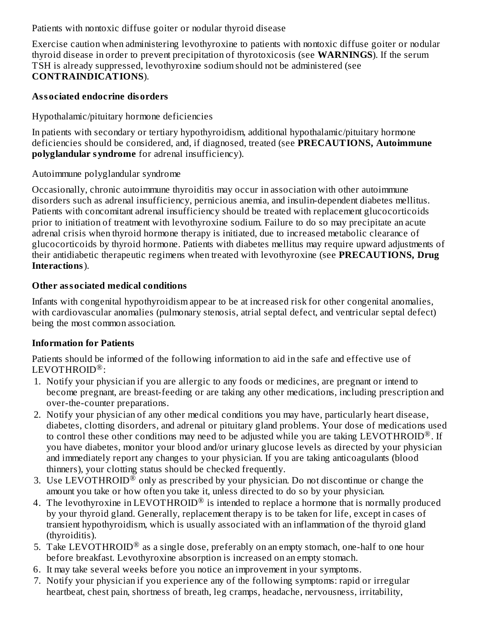Patients with nontoxic diffuse goiter or nodular thyroid disease

Exercise caution when administering levothyroxine to patients with nontoxic diffuse goiter or nodular thyroid disease in order to prevent precipitation of thyrotoxicosis (see **WARNINGS**). If the serum TSH is already suppressed, levothyroxine sodium should not be administered (see **CONTRAINDICATIONS**).

### **Associated endocrine disorders**

Hypothalamic/pituitary hormone deficiencies

In patients with secondary or tertiary hypothyroidism, additional hypothalamic/pituitary hormone deficiencies should be considered, and, if diagnosed, treated (see **PRECAUTIONS, Autoimmune polyglandular syndrome** for adrenal insufficiency).

Autoimmune polyglandular syndrome

Occasionally, chronic autoimmune thyroiditis may occur in association with other autoimmune disorders such as adrenal insufficiency, pernicious anemia, and insulin-dependent diabetes mellitus. Patients with concomitant adrenal insufficiency should be treated with replacement glucocorticoids prior to initiation of treatment with levothyroxine sodium. Failure to do so may precipitate an acute adrenal crisis when thyroid hormone therapy is initiated, due to increased metabolic clearance of glucocorticoids by thyroid hormone. Patients with diabetes mellitus may require upward adjustments of their antidiabetic therapeutic regimens when treated with levothyroxine (see **PRECAUTIONS, Drug Interactions**).

### **Other associated medical conditions**

Infants with congenital hypothyroidism appear to be at increased risk for other congenital anomalies, with cardiovascular anomalies (pulmonary stenosis, atrial septal defect, and ventricular septal defect) being the most common association.

## **Information for Patients**

Patients should be informed of the following information to aid in the safe and effective use of  $\text{LEVOTHROID}^{\circledR}$ :

- 1. Notify your physician if you are allergic to any foods or medicines, are pregnant or intend to become pregnant, are breast-feeding or are taking any other medications, including prescription and over-the-counter preparations.
- 2. Notify your physician of any other medical conditions you may have, particularly heart disease, diabetes, clotting disorders, and adrenal or pituitary gland problems. Your dose of medications used to control these other conditions may need to be adjusted while you are taking LEVOTHROID<sup>®</sup>. If you have diabetes, monitor your blood and/or urinary glucose levels as directed by your physician and immediately report any changes to your physician. If you are taking anticoagulants (blood thinners), your clotting status should be checked frequently.
- 3. Use LEVOTHROID $^{\circledR}$  only as prescribed by your physician. Do not discontinue or change the amount you take or how often you take it, unless directed to do so by your physician.
- 4. The levothyroxine in LEVOTHROID $^{\circledR}$  is intended to replace a hormone that is normally produced by your thyroid gland. Generally, replacement therapy is to be taken for life, except in cases of transient hypothyroidism, which is usually associated with an inflammation of the thyroid gland (thyroiditis).
- 5. Take LEVOTHROID $^{\circledR}$  as a single dose, preferably on an empty stomach, one-half to one hour before breakfast. Levothyroxine absorption is increased on an empty stomach.
- 6. It may take several weeks before you notice an improvement in your symptoms.
- 7. Notify your physician if you experience any of the following symptoms: rapid or irregular heartbeat, chest pain, shortness of breath, leg cramps, headache, nervousness, irritability,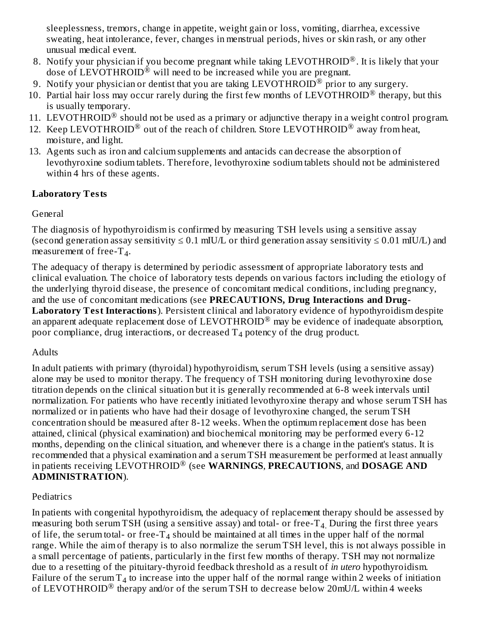sleeplessness, tremors, change in appetite, weight gain or loss, vomiting, diarrhea, excessive sweating, heat intolerance, fever, changes in menstrual periods, hives or skin rash, or any other unusual medical event.

- 8. Notify your physician if you become pregnant while taking  $LEVOTHROID^@$ . It is likely that your dose of LEVOTHROID<sup>®</sup> will need to be increased while you are pregnant.
- 9. Notify your physician or dentist that you are taking LEVOTHROID  $^\circledR$  prior to any surgery.
- 10. Partial hair loss may occur rarely during the first few months of LEVOTHROID® therapy, but this is usually temporary.
- 11. LEVOTHROID<sup>®</sup> should not be used as a primary or adjunctive therapy in a weight control program.
- 12. Keep LEVOTHROID® out of the reach of children. Store LEVOTHROID® away from heat, moisture, and light.
- 13. Agents such as iron and calcium supplements and antacids can decrease the absorption of levothyroxine sodium tablets. Therefore, levothyroxine sodium tablets should not be administered within 4 hrs of these agents.

## **Laboratory Tests**

## General

The diagnosis of hypothyroidism is confirmed by measuring TSH levels using a sensitive assay (second generation assay sensitivity  $\leq 0.1$  mIU/L or third generation assay sensitivity  $\leq 0.01$  mIU/L) and measurement of free-T<sub>4</sub>.

The adequacy of therapy is determined by periodic assessment of appropriate laboratory tests and clinical evaluation. The choice of laboratory tests depends on various factors including the etiology of the underlying thyroid disease, the presence of concomitant medical conditions, including pregnancy, and the use of concomitant medications (see **PRECAUTIONS, Drug Interactions and Drug-Laboratory Test Interactions**). Persistent clinical and laboratory evidence of hypothyroidism despite an apparent adequate replacement dose of LEVOTHROID<sup>®</sup> may be evidence of inadequate absorption, poor compliance, drug interactions, or decreased  $\mathrm{T}_4$  potency of the drug product.

# Adults

In adult patients with primary (thyroidal) hypothyroidism, serum TSH levels (using a sensitive assay) alone may be used to monitor therapy. The frequency of TSH monitoring during levothyroxine dose titration depends on the clinical situation but it is generally recommended at 6-8 week intervals until normalization. For patients who have recently initiated levothyroxine therapy and whose serum TSH has normalized or in patients who have had their dosage of levothyroxine changed, the serum TSH concentration should be measured after 8-12 weeks. When the optimum replacement dose has been attained, clinical (physical examination) and biochemical monitoring may be performed every 6-12 months, depending on the clinical situation, and whenever there is a change in the patient's status. It is recommended that a physical examination and a serum TSH measurement be performed at least annually in patients receiving LEVOTHROID® (see **WARNINGS, PRECAUTIONS,** and **DOSAGE AND ADMINISTRATION**).

# **Pediatrics**

In patients with congenital hypothyroidism, the adequacy of replacement therapy should be assessed by measuring both serum TSH (using a sensitive assay) and total- or free-T $_{\rm 4.}$  During the first three years of life, the serum total- or free-T<sub>4</sub> should be maintained at all times in the upper half of the normal range. While the aim of therapy is to also normalize the serum TSH level, this is not always possible in a small percentage of patients, particularly in the first few months of therapy. TSH may not normalize due to a resetting of the pituitary-thyroid feedback threshold as a result of *in utero* hypothyroidism. Failure of the serum  $T_4$  to increase into the upper half of the normal range within 2 weeks of initiation of LEVOTHROID<sup>®</sup> therapy and/or of the serum TSH to decrease below 20mU/L within 4 weeks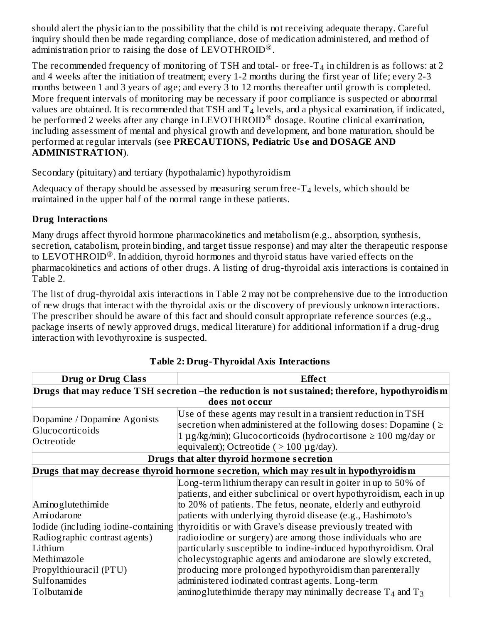should alert the physician to the possibility that the child is not receiving adequate therapy. Careful inquiry should then be made regarding compliance, dose of medication administered, and method of administration prior to raising the dose of LEVOTHROID<sup>®</sup>.

The recommended frequency of monitoring of TSH and total- or free-T $_4$  in children is as follows: at 2 and 4 weeks after the initiation of treatment; every 1-2 months during the first year of life; every 2-3 months between 1 and 3 years of age; and every 3 to 12 months thereafter until growth is completed. More frequent intervals of monitoring may be necessary if poor compliance is suspected or abnormal values are obtained. It is recommended that TSH and  $T_4$  levels, and a physical examination, if indicated, be performed 2 weeks after any change in  $\textrm{LEVOTHROID}^{\circledR}$  dosage. Routine clinical examination, including assessment of mental and physical growth and development, and bone maturation, should be performed at regular intervals (see **PRECAUTIONS, Pediatric Us e and DOSAGE AND ADMINISTRATION**).

Secondary (pituitary) and tertiary (hypothalamic) hypothyroidism

Adequacy of therapy should be assessed by measuring serum free-T $_{\rm 4}$  levels, which should be maintained in the upper half of the normal range in these patients.

## **Drug Interactions**

Many drugs affect thyroid hormone pharmacokinetics and metabolism (e.g., absorption, synthesis, secretion, catabolism, protein binding, and target tissue response) and may alter the therapeutic response to LEVOTHROID<sup>®</sup>. In addition, thyroid hormones and thyroid status have varied effects on the pharmacokinetics and actions of other drugs. A listing of drug-thyroidal axis interactions is contained in Table 2.

The list of drug-thyroidal axis interactions in Table 2 may not be comprehensive due to the introduction of new drugs that interact with the thyroidal axis or the discovery of previously unknown interactions. The prescriber should be aware of this fact and should consult appropriate reference sources (e.g., package inserts of newly approved drugs, medical literature) for additional information if a drug-drug interaction with levothyroxine is suspected.

| <b>Drug or Drug Class</b>                                                                      | <b>Effect</b>                                                                                                                                                                                                                                                      |  |  |  |  |
|------------------------------------------------------------------------------------------------|--------------------------------------------------------------------------------------------------------------------------------------------------------------------------------------------------------------------------------------------------------------------|--|--|--|--|
| Drugs that may reduce TSH secretion -the reduction is not sustained; therefore, hypothyroidism |                                                                                                                                                                                                                                                                    |  |  |  |  |
| does not occur                                                                                 |                                                                                                                                                                                                                                                                    |  |  |  |  |
| Dopamine / Dopamine Agonists<br>Glucocorticoids<br>Octreotide                                  | Use of these agents may result in a transient reduction in TSH<br>secretion when administered at the following doses: Dopamine ( $\geq$<br>1 $\mu$ g/kg/min); Glucocorticoids (hydrocortisone $\geq 100$ mg/day or<br>equivalent); Octreotide ( $>100 \mu$ g/day). |  |  |  |  |
|                                                                                                | Drugs that alter thyroid hormone secretion                                                                                                                                                                                                                         |  |  |  |  |
| Drugs that may decrease thyroid hormone secretion, which may result in hypothyroidism          |                                                                                                                                                                                                                                                                    |  |  |  |  |
|                                                                                                | Long-term lithium therapy can result in goiter in up to 50% of<br>patients, and either subclinical or overt hypothyroidism, each in up                                                                                                                             |  |  |  |  |
| Aminoglutethimide<br>Amiodarone                                                                | to 20% of patients. The fetus, neonate, elderly and euthyroid<br>patients with underlying thyroid disease (e.g., Hashimoto's                                                                                                                                       |  |  |  |  |
| Radiographic contrast agents)<br>Lithium                                                       | Iodide (including iodine-containing thyroiditis or with Grave's disease previously treated with<br>radioiodine or surgery) are among those individuals who are<br>particularly susceptible to iodine-induced hypothyroidism. Oral                                  |  |  |  |  |
| Methimazole<br>Propylthiouracil (PTU)                                                          | cholecystographic agents and amiodarone are slowly excreted,<br>producing more prolonged hypothyroidism than parenterally                                                                                                                                          |  |  |  |  |
| Sulfonamides<br>Tolbutamide                                                                    | administered iodinated contrast agents. Long-term<br>aminoglutethimide therapy may minimally decrease $T_4$ and $T_3$                                                                                                                                              |  |  |  |  |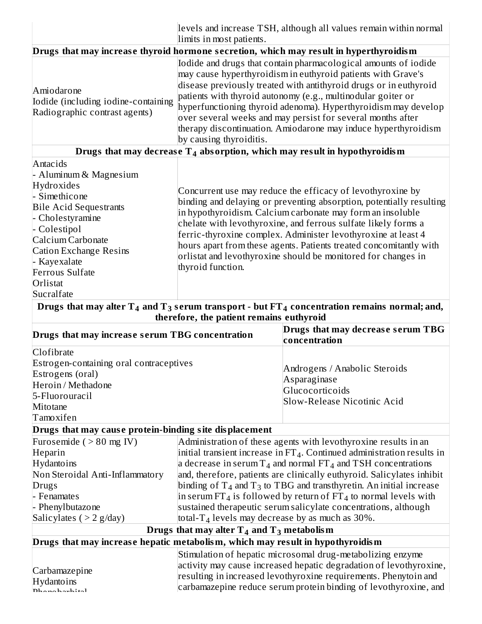|                                                                                                                                                                                                                                                                                                                                                                                                                                                                                                                                                                                          | limits in most patients.                                                                                           | levels and increase TSH, although all values remain within normal                                                                                                                                                                                                                                                                                                                                                                                                                                                     |
|------------------------------------------------------------------------------------------------------------------------------------------------------------------------------------------------------------------------------------------------------------------------------------------------------------------------------------------------------------------------------------------------------------------------------------------------------------------------------------------------------------------------------------------------------------------------------------------|--------------------------------------------------------------------------------------------------------------------|-----------------------------------------------------------------------------------------------------------------------------------------------------------------------------------------------------------------------------------------------------------------------------------------------------------------------------------------------------------------------------------------------------------------------------------------------------------------------------------------------------------------------|
| Drugs that may increase thyroid hormone secretion, which may result in hyperthyroidism                                                                                                                                                                                                                                                                                                                                                                                                                                                                                                   |                                                                                                                    |                                                                                                                                                                                                                                                                                                                                                                                                                                                                                                                       |
| Iodide and drugs that contain pharmacological amounts of iodide<br>may cause hyperthyroidism in euthyroid patients with Grave's<br>disease previously treated with antithyroid drugs or in euthyroid<br>Amiodarone<br>patients with thyroid autonomy (e.g., multinodular goiter or<br>Iodide (including iodine-containing<br>hyperfunctioning thyroid adenoma). Hyperthyroidism may develop<br>Radiographic contrast agents)<br>over several weeks and may persist for several months after<br>therapy discontinuation. Amiodarone may induce hyperthyroidism<br>by causing thyroiditis. |                                                                                                                    |                                                                                                                                                                                                                                                                                                                                                                                                                                                                                                                       |
|                                                                                                                                                                                                                                                                                                                                                                                                                                                                                                                                                                                          |                                                                                                                    | Drugs that may decrease $T_4$ absorption, which may result in hypothyroidism                                                                                                                                                                                                                                                                                                                                                                                                                                          |
| Antacids<br>- Aluminum & Magnesium<br>Hydroxides<br>Simethicone<br><b>Bile Acid Sequestrants</b><br>- Cholestyramine<br>- Colestipol<br>Calcium Carbonate<br><b>Cation Exchange Resins</b><br>- Kayexalate<br>Ferrous Sulfate<br>Orlistat<br>Sucralfate                                                                                                                                                                                                                                                                                                                                  | thyroid function.                                                                                                  | Concurrent use may reduce the efficacy of levothyroxine by<br>binding and delaying or preventing absorption, potentially resulting<br>in hypothyroidism. Calcium carbonate may form an insoluble<br>chelate with levothyroxine, and ferrous sulfate likely forms a<br>ferric-thyroxine complex. Administer levothyroxine at least 4<br>hours apart from these agents. Patients treated concomitantly with<br>orlistat and levothyroxine should be monitored for changes in                                            |
|                                                                                                                                                                                                                                                                                                                                                                                                                                                                                                                                                                                          |                                                                                                                    | Drugs that may alter $T_4$ and $T_3$ serum transport - but $FT_4$ concentration remains normal; and,                                                                                                                                                                                                                                                                                                                                                                                                                  |
|                                                                                                                                                                                                                                                                                                                                                                                                                                                                                                                                                                                          | therefore, the patient remains euthyroid                                                                           |                                                                                                                                                                                                                                                                                                                                                                                                                                                                                                                       |
|                                                                                                                                                                                                                                                                                                                                                                                                                                                                                                                                                                                          |                                                                                                                    |                                                                                                                                                                                                                                                                                                                                                                                                                                                                                                                       |
| Drugs that may increase serum TBG concentration                                                                                                                                                                                                                                                                                                                                                                                                                                                                                                                                          |                                                                                                                    | Drugs that may decrease serum TBG<br>concentration                                                                                                                                                                                                                                                                                                                                                                                                                                                                    |
| Clofibrate<br>Estrogen-containing oral contraceptives<br>Estrogens (oral)<br>Heroin / Methadone<br>5-Fluorouracil<br>Mitotane                                                                                                                                                                                                                                                                                                                                                                                                                                                            |                                                                                                                    | Androgens / Anabolic Steroids<br>Asparaginase<br>Glucocorticoids<br>Slow-Release Nicotinic Acid                                                                                                                                                                                                                                                                                                                                                                                                                       |
| Tamoxifen                                                                                                                                                                                                                                                                                                                                                                                                                                                                                                                                                                                |                                                                                                                    |                                                                                                                                                                                                                                                                                                                                                                                                                                                                                                                       |
| Drugs that may cause protein-binding site displacement                                                                                                                                                                                                                                                                                                                                                                                                                                                                                                                                   |                                                                                                                    |                                                                                                                                                                                                                                                                                                                                                                                                                                                                                                                       |
| Furosemide ( $> 80$ mg IV)<br>Heparin<br>Hydantoins<br>Non Steroidal Anti-Inflammatory<br>Drugs<br>- Fenamates<br>- Phenylbutazone<br>Salicylates $($ > 2 g/day)                                                                                                                                                                                                                                                                                                                                                                                                                         | total-T <sub>4</sub> levels may decrease by as much as $30\%$ .<br>Drugs that may alter $T_4$ and $T_3$ metabolism | Administration of these agents with levothyroxine results in an<br>initial transient increase in $FT_4$ . Continued administration results in<br>a decrease in serum $T_4$ and normal $FT_4$ and TSH concentrations<br>and, therefore, patients are clinically euthyroid. Salicylates inhibit<br>binding of $T_4$ and $T_3$ to TBG and transthyretin. An initial increase<br>in serum $FT_4$ is followed by return of $FT_4$ to normal levels with<br>sustained therapeutic serum salicylate concentrations, although |
| Drugs that may increase hepatic metabolism, which may result in hypothyroidism                                                                                                                                                                                                                                                                                                                                                                                                                                                                                                           |                                                                                                                    |                                                                                                                                                                                                                                                                                                                                                                                                                                                                                                                       |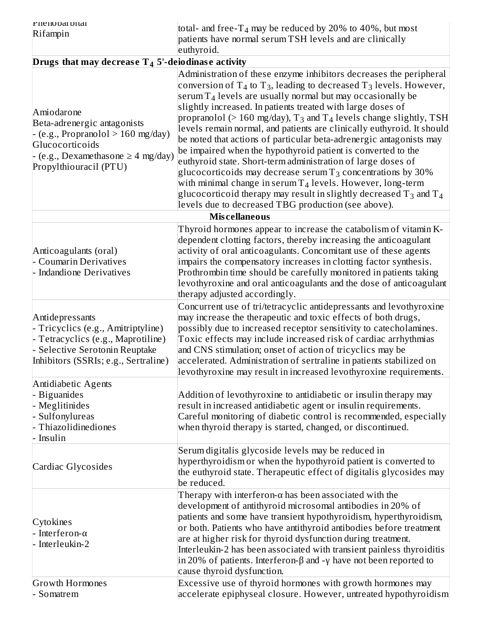| <b>PIRIODATOITAL</b><br>Rifampin                                                                                                                                          | total- and free- $T_4$ may be reduced by 20% to 40%, but most<br>patients have normal serum TSH levels and are clinically                                                                                                                                                                                                                                                                                                                                                                                                                                                                                                                                                                                                                                                                                                                                  |  |  |  |
|---------------------------------------------------------------------------------------------------------------------------------------------------------------------------|------------------------------------------------------------------------------------------------------------------------------------------------------------------------------------------------------------------------------------------------------------------------------------------------------------------------------------------------------------------------------------------------------------------------------------------------------------------------------------------------------------------------------------------------------------------------------------------------------------------------------------------------------------------------------------------------------------------------------------------------------------------------------------------------------------------------------------------------------------|--|--|--|
|                                                                                                                                                                           | euthyroid.                                                                                                                                                                                                                                                                                                                                                                                                                                                                                                                                                                                                                                                                                                                                                                                                                                                 |  |  |  |
| Drugs that may decrease $T_4$ 5'-deiodinase activity                                                                                                                      |                                                                                                                                                                                                                                                                                                                                                                                                                                                                                                                                                                                                                                                                                                                                                                                                                                                            |  |  |  |
| Amiodarone<br>Beta-adrenergic antagonists<br>$-(e.g.,  Propranolol > 160 mg/day)$<br>Glucocorticoids<br>- (e.g., Dexamethasone $\geq 4$ mg/day)<br>Propylthiouracil (PTU) | Administration of these enzyme inhibitors decreases the peripheral<br>conversion of $T_4$ to $T_3$ , leading to decreased $T_3$ levels. However,<br>serum $T_4$ levels are usually normal but may occasionally be<br>slightly increased. In patients treated with large doses of<br>propranolol (> 160 mg/day), $T_3$ and $T_4$ levels change slightly, TSH<br>levels remain normal, and patients are clinically euthyroid. It should<br>be noted that actions of particular beta-adrenergic antagonists may<br>be impaired when the hypothyroid patient is converted to the<br>euthyroid state. Short-term administration of large doses of<br>glucocorticoids may decrease serum $T_3$ concentrations by 30%<br>with minimal change in serum $T_4$ levels. However, long-term<br>glucocorticoid therapy may result in slightly decreased $T_3$ and $T_4$ |  |  |  |
|                                                                                                                                                                           | levels due to decreased TBG production (see above).                                                                                                                                                                                                                                                                                                                                                                                                                                                                                                                                                                                                                                                                                                                                                                                                        |  |  |  |
|                                                                                                                                                                           | <b>Miscellaneous</b>                                                                                                                                                                                                                                                                                                                                                                                                                                                                                                                                                                                                                                                                                                                                                                                                                                       |  |  |  |
| Anticoagulants (oral)<br><b>Coumarin Derivatives</b><br><b>Indandione Derivatives</b>                                                                                     | Thyroid hormones appear to increase the catabolism of vitamin K-<br>dependent clotting factors, thereby increasing the anticoagulant<br>activity of oral anticoagulants. Concomitant use of these agents<br>impairs the compensatory increases in clotting factor synthesis.<br>Prothrombin time should be carefully monitored in patients taking<br>levothyroxine and oral anticoagulants and the dose of anticoagulant<br>therapy adjusted accordingly.                                                                                                                                                                                                                                                                                                                                                                                                  |  |  |  |
| Antidepressants<br>Tricyclics (e.g., Amitriptyline)<br>Tetracyclics (e.g., Maprotiline)<br>Selective Serotonin Reuptake<br>Inhibitors (SSRIs; e.g., Sertraline)           | Concurrent use of tri/tetracyclic antidepressants and levothyroxine<br>may increase the therapeutic and toxic effects of both drugs,<br>possibly due to increased receptor sensitivity to catecholamines.<br>Toxic effects may include increased risk of cardiac arrhythmias<br>and CNS stimulation; onset of action of tricyclics may be<br>accelerated. Administration of sertraline in patients stabilized on<br>levothyroxine may result in increased levothyroxine requirements.                                                                                                                                                                                                                                                                                                                                                                      |  |  |  |
| Antidiabetic Agents<br><b>Biguanides</b><br>- Meglitinides<br>Sulfonylureas<br>Thiazolidinediones<br>Insulin                                                              | Addition of levothyroxine to antidiabetic or insulin therapy may<br>result in increased antidiabetic agent or insulin requirements.<br>Careful monitoring of diabetic control is recommended, especially<br>when thyroid therapy is started, changed, or discontinued.                                                                                                                                                                                                                                                                                                                                                                                                                                                                                                                                                                                     |  |  |  |
| Cardiac Glycosides                                                                                                                                                        | Serum digitalis glycoside levels may be reduced in<br>hyperthyroidism or when the hypothyroid patient is converted to<br>the euthyroid state. Therapeutic effect of digitalis glycosides may<br>be reduced.                                                                                                                                                                                                                                                                                                                                                                                                                                                                                                                                                                                                                                                |  |  |  |
| Cytokines<br>Interferon- $\alpha$<br>Interleukin-2<br><b>Growth Hormones</b>                                                                                              | Therapy with interferon- $\alpha$ has been associated with the<br>development of antithyroid microsomal antibodies in 20% of<br>patients and some have transient hypothyroidism, hyperthyroidism,<br>or both. Patients who have antithyroid antibodies before treatment<br>are at higher risk for thyroid dysfunction during treatment.<br>Interleukin-2 has been associated with transient painless thyroiditis<br>in 20% of patients. Interferon- $\beta$ and - $\gamma$ have not been reported to<br>cause thyroid dysfunction.<br>Excessive use of thyroid hormones with growth hormones may                                                                                                                                                                                                                                                           |  |  |  |
| Somatrem                                                                                                                                                                  | accelerate epiphyseal closure. However, untreated hypothyroidism                                                                                                                                                                                                                                                                                                                                                                                                                                                                                                                                                                                                                                                                                                                                                                                           |  |  |  |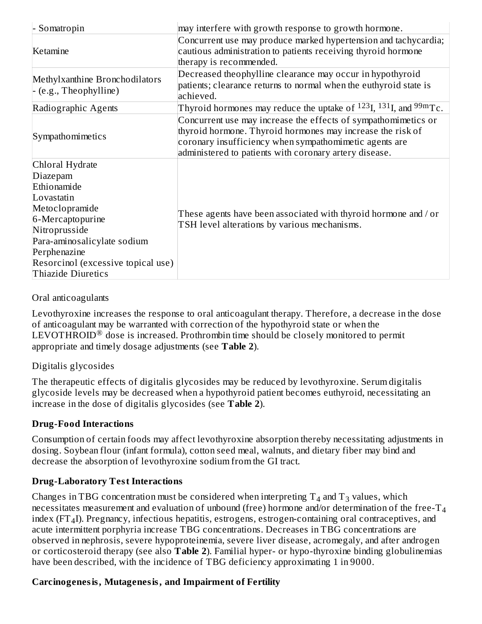| Somatropin                                                                                                                                                                                                                 | may interfere with growth response to growth hormone.                                                                                                                                                                                            |  |  |
|----------------------------------------------------------------------------------------------------------------------------------------------------------------------------------------------------------------------------|--------------------------------------------------------------------------------------------------------------------------------------------------------------------------------------------------------------------------------------------------|--|--|
| Ketamine                                                                                                                                                                                                                   | Concurrent use may produce marked hypertension and tachycardia;<br>cautious administration to patients receiving thyroid hormone<br>therapy is recommended.                                                                                      |  |  |
| Methylxanthine Bronchodilators<br>- (e.g., Theophylline)                                                                                                                                                                   | Decreased theophylline clearance may occur in hypothyroid<br>patients; clearance returns to normal when the euthyroid state is<br>achieved.                                                                                                      |  |  |
| Radiographic Agents                                                                                                                                                                                                        | Thyroid hormones may reduce the uptake of $^{123}$ I, $^{131}$ I, and $^{99m}$ Tc.                                                                                                                                                               |  |  |
| Sympathomimetics                                                                                                                                                                                                           | Concurrent use may increase the effects of sympathomimetics or<br>thyroid hormone. Thyroid hormones may increase the risk of<br>coronary insufficiency when sympathomimetic agents are<br>administered to patients with coronary artery disease. |  |  |
| Chloral Hydrate<br>Diazepam<br>Ethionamide<br>Lovastatin<br>Metoclopramide<br>6-Mercaptopurine<br>Nitroprusside<br>Para-aminosalicylate sodium<br>Perphenazine<br>Resorcinol (excessive topical use)<br>Thiazide Diuretics | These agents have been associated with thyroid hormone and / or<br>TSH level alterations by various mechanisms.                                                                                                                                  |  |  |

#### Oral anticoagulants

Levothyroxine increases the response to oral anticoagulant therapy. Therefore, a decrease in the dose of anticoagulant may be warranted with correction of the hypothyroid state or when the  $\tt LEVOTHROID^®$  dose is increased. Prothrombin time should be closely monitored to permit appropriate and timely dosage adjustments (see **Table 2**).

## Digitalis glycosides

The therapeutic effects of digitalis glycosides may be reduced by levothyroxine. Serum digitalis glycoside levels may be decreased when a hypothyroid patient becomes euthyroid, necessitating an increase in the dose of digitalis glycosides (see **Table 2**).

## **Drug-Food Interactions**

Consumption of certain foods may affect levothyroxine absorption thereby necessitating adjustments in dosing. Soybean flour (infant formula), cotton seed meal, walnuts, and dietary fiber may bind and decrease the absorption of levothyroxine sodium from the GI tract.

# **Drug-Laboratory Test Interactions**

Changes in TBG concentration must be considered when interpreting  $T_4$  and  $T_3$  values, which necessitates measurement and evaluation of unbound (free) hormone and/or determination of the free-T $_4$  ${\rm index\,}({\rm FT}_4{\rm I})$ . Pregnancy, infectious hepatitis, estrogens, estrogen-containing oral contraceptives, and acute intermittent porphyria increase TBG concentrations. Decreases in TBG concentrations are observed in nephrosis, severe hypoproteinemia, severe liver disease, acromegaly, and after androgen or corticosteroid therapy (see also **Table 2**). Familial hyper- or hypo-thyroxine binding globulinemias have been described, with the incidence of TBG deficiency approximating 1 in 9000.

# **Carcinogenesis, Mutagenesis, and Impairment of Fertility**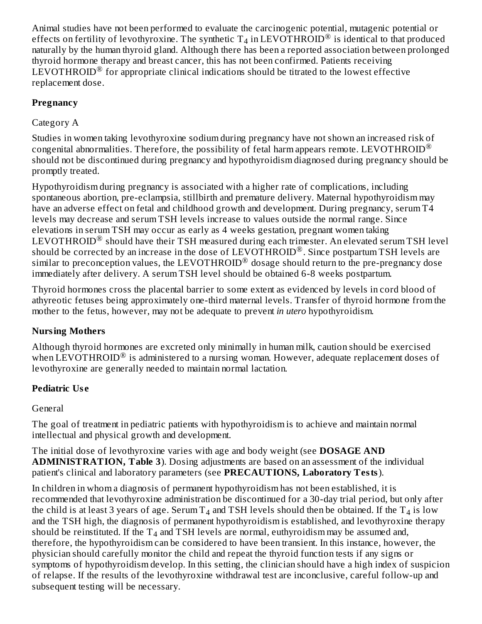Animal studies have not been performed to evaluate the carcinogenic potential, mutagenic potential or effects on fertility of levothyroxine. The synthetic T<sub>4</sub> in LEVOTHROID® is identical to that produced naturally by the human thyroid gland. Although there has been a reported association between prolonged thyroid hormone therapy and breast cancer, this has not been confirmed. Patients receiving  $LEVOTHROID<sup>®</sup>$  for appropriate clinical indications should be titrated to the lowest effective replacement dose.

## **Pregnancy**

## Category A

Studies in women taking levothyroxine sodium during pregnancy have not shown an increased risk of congenital abnormalities. Therefore, the possibility of fetal harm appears remote. LEVOTHROID<sup>®</sup> should not be discontinued during pregnancy and hypothyroidism diagnosed during pregnancy should be promptly treated.

Hypothyroidism during pregnancy is associated with a higher rate of complications, including spontaneous abortion, pre-eclampsia, stillbirth and premature delivery. Maternal hypothyroidism may have an adverse effect on fetal and childhood growth and development. During pregnancy, serum T4 levels may decrease and serum TSH levels increase to values outside the normal range. Since elevations in serum TSH may occur as early as 4 weeks gestation, pregnant women taking  $LEVOTHROID<sup>®</sup>$  should have their TSH measured during each trimester. An elevated serum TSH level should be corrected by an increase in the dose of LEVOTHROID®. Since postpartum TSH levels are similar to preconception values, the LEVOTHROID $^\circledR$  dosage should return to the pre-pregnancy dose immediately after delivery. A serum TSH level should be obtained 6-8 weeks postpartum.

Thyroid hormones cross the placental barrier to some extent as evidenced by levels in cord blood of athyreotic fetuses being approximately one-third maternal levels. Transfer of thyroid hormone from the mother to the fetus, however, may not be adequate to prevent *in utero* hypothyroidism.

## **Nursing Mothers**

Although thyroid hormones are excreted only minimally in human milk, caution should be exercised when  $\text{LEVOTHROID}^{\circledR}$  is administered to a nursing woman. However, adequate replacement doses of levothyroxine are generally needed to maintain normal lactation.

# **Pediatric Us e**

## General

The goal of treatment in pediatric patients with hypothyroidism is to achieve and maintain normal intellectual and physical growth and development.

The initial dose of levothyroxine varies with age and body weight (see **DOSAGE AND ADMINISTRATION, Table 3**). Dosing adjustments are based on an assessment of the individual patient's clinical and laboratory parameters (see **PRECAUTIONS, Laboratory Tests**).

In children in whom a diagnosis of permanent hypothyroidism has not been established, it is recommended that levothyroxine administration be discontinued for a 30-day trial period, but only after the child is at least 3 years of age. Serum  $T_{4}$  and TSH levels should then be obtained. If the  $T_{4}$  is low and the TSH high, the diagnosis of permanent hypothyroidism is established, and levothyroxine therapy should be reinstituted. If the  $T_{4}$  and TSH levels are normal, euthyroidism may be assumed and, therefore, the hypothyroidism can be considered to have been transient. In this instance, however, the physician should carefully monitor the child and repeat the thyroid function tests if any signs or symptoms of hypothyroidism develop. In this setting, the clinician should have a high index of suspicion of relapse. If the results of the levothyroxine withdrawal test are inconclusive, careful follow-up and subsequent testing will be necessary.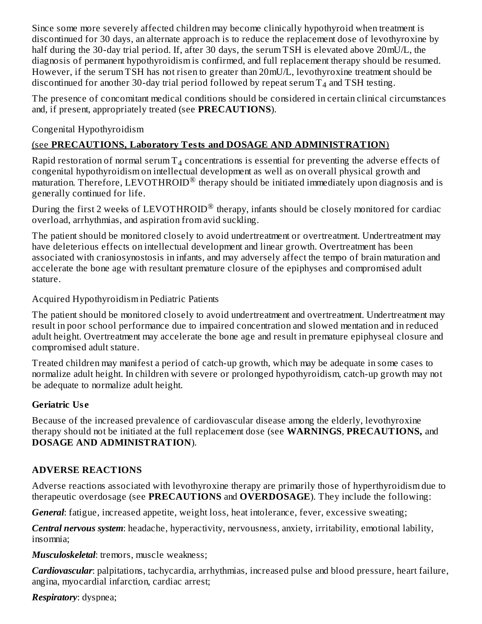Since some more severely affected children may become clinically hypothyroid when treatment is discontinued for 30 days, an alternate approach is to reduce the replacement dose of levothyroxine by half during the 30-day trial period. If, after 30 days, the serum TSH is elevated above 20mU/L, the diagnosis of permanent hypothyroidism is confirmed, and full replacement therapy should be resumed. However, if the serum TSH has not risen to greater than 20mU/L, levothyroxine treatment should be discontinued for another 30-day trial period followed by repeat serum  $\mathrm{T}_4$  and  $\mathrm{TSH}$  testing.

The presence of concomitant medical conditions should be considered in certain clinical circumstances and, if present, appropriately treated (see **PRECAUTIONS**).

Congenital Hypothyroidism

## (see **PRECAUTIONS, Laboratory Tests and DOSAGE AND ADMINISTRATION**)

Rapid restoration of normal serum  $\texttt{T}_4$  concentrations is essential for preventing the adverse effects of congenital hypothyroidism on intellectual development as well as on overall physical growth and  $m$ aturation. Therefore, LEVOTHROID<sup>®</sup> therapy should be initiated immediately upon diagnosis and is generally continued for life.

During the first 2 weeks of LEVOTHROID $^\circledR$  therapy, infants should be closely monitored for cardiac overload, arrhythmias, and aspiration from avid suckling.

The patient should be monitored closely to avoid undertreatment or overtreatment. Undertreatment may have deleterious effects on intellectual development and linear growth. Overtreatment has been associated with craniosynostosis in infants, and may adversely affect the tempo of brain maturation and accelerate the bone age with resultant premature closure of the epiphyses and compromised adult stature.

Acquired Hypothyroidism in Pediatric Patients

The patient should be monitored closely to avoid undertreatment and overtreatment. Undertreatment may result in poor school performance due to impaired concentration and slowed mentation and in reduced adult height. Overtreatment may accelerate the bone age and result in premature epiphyseal closure and compromised adult stature.

Treated children may manifest a period of catch-up growth, which may be adequate in some cases to normalize adult height. In children with severe or prolonged hypothyroidism, catch-up growth may not be adequate to normalize adult height.

## **Geriatric Us e**

Because of the increased prevalence of cardiovascular disease among the elderly, levothyroxine therapy should not be initiated at the full replacement dose (see **WARNINGS**, **PRECAUTIONS,** and **DOSAGE AND ADMINISTRATION**).

# **ADVERSE REACTIONS**

Adverse reactions associated with levothyroxine therapy are primarily those of hyperthyroidism due to therapeutic overdosage (see **PRECAUTIONS** and **OVERDOSAGE**). They include the following:

*General: fatigue, increased appetite, weight loss, heat intolerance, fever, excessive sweating;* 

*Central nervous system*: headache, hyperactivity, nervousness, anxiety, irritability, emotional lability, insomnia;

*Musculoskeletal*: tremors, muscle weakness;

*Cardiovascular*: palpitations, tachycardia, arrhythmias, increased pulse and blood pressure, heart failure, angina, myocardial infarction, cardiac arrest;

*Respiratory*: dyspnea;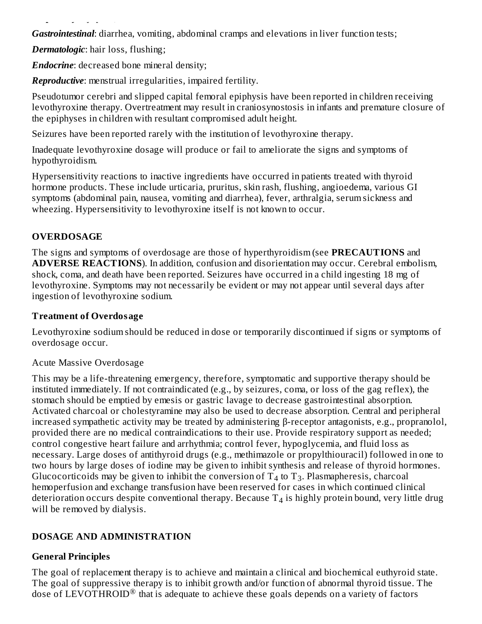*Gastrointestinal*: diarrhea, vomiting, abdominal cramps and elevations in liver function tests;

*Dermatologic*: hair loss, flushing;

*Respiratory*: dyspnea;

*Endocrine*: decreased bone mineral density;

*Reproductive*: menstrual irregularities, impaired fertility.

Pseudotumor cerebri and slipped capital femoral epiphysis have been reported in children receiving levothyroxine therapy. Overtreatment may result in craniosynostosis in infants and premature closure of the epiphyses in children with resultant compromised adult height.

Seizures have been reported rarely with the institution of levothyroxine therapy.

Inadequate levothyroxine dosage will produce or fail to ameliorate the signs and symptoms of hypothyroidism.

Hypersensitivity reactions to inactive ingredients have occurred in patients treated with thyroid hormone products. These include urticaria, pruritus, skin rash, flushing, angioedema, various GI symptoms (abdominal pain, nausea, vomiting and diarrhea), fever, arthralgia, serum sickness and wheezing. Hypersensitivity to levothyroxine itself is not known to occur.

### **OVERDOSAGE**

The signs and symptoms of overdosage are those of hyperthyroidism (see **PRECAUTIONS** and **ADVERSE REACTIONS**). In addition, confusion and disorientation may occur. Cerebral embolism, shock, coma, and death have been reported. Seizures have occurred in a child ingesting 18 mg of levothyroxine. Symptoms may not necessarily be evident or may not appear until several days after ingestion of levothyroxine sodium.

#### **Treatment of Overdosage**

Levothyroxine sodium should be reduced in dose or temporarily discontinued if signs or symptoms of overdosage occur.

Acute Massive Overdosage

This may be a life-threatening emergency, therefore, symptomatic and supportive therapy should be instituted immediately. If not contraindicated (e.g., by seizures, coma, or loss of the gag reflex), the stomach should be emptied by emesis or gastric lavage to decrease gastrointestinal absorption. Activated charcoal or cholestyramine may also be used to decrease absorption. Central and peripheral increased sympathetic activity may be treated by administering β-receptor antagonists, e.g., propranolol, provided there are no medical contraindications to their use. Provide respiratory support as needed; control congestive heart failure and arrhythmia; control fever, hypoglycemia, and fluid loss as necessary. Large doses of antithyroid drugs (e.g., methimazole or propylthiouracil) followed in one to two hours by large doses of iodine may be given to inhibit synthesis and release of thyroid hormones. Glucocorticoids may be given to inhibit the conversion of  $T_4$  to  $T_3$ . Plasmapheresis, charcoal hemoperfusion and exchange transfusion have been reserved for cases in which continued clinical deterioration occurs despite conventional therapy. Because  $\mathrm{T}_4$  is highly protein bound, very little drug will be removed by dialysis.

## **DOSAGE AND ADMINISTRATION**

#### **General Principles**

The goal of replacement therapy is to achieve and maintain a clinical and biochemical euthyroid state. The goal of suppressive therapy is to inhibit growth and/or function of abnormal thyroid tissue. The dose of LEVOTHROID<sup>®</sup> that is adequate to achieve these goals depends on a variety of factors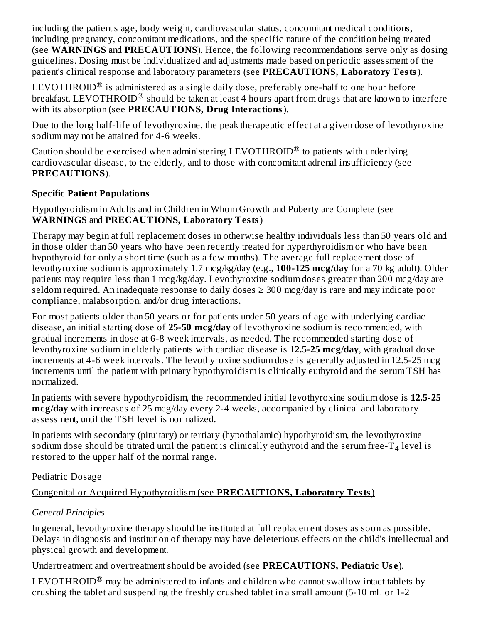including the patient's age, body weight, cardiovascular status, concomitant medical conditions, including pregnancy, concomitant medications, and the specific nature of the condition being treated (see **WARNINGS** and **PRECAUTIONS**). Hence, the following recommendations serve only as dosing guidelines. Dosing must be individualized and adjustments made based on periodic assessment of the patient's clinical response and laboratory parameters (see **PRECAUTIONS, Laboratory Tests**).

LEVOTHROID $^\circledR$  is administered as a single daily dose, preferably one-half to one hour before breakfast. LEVOTHROID® should be taken at least 4 hours apart from drugs that are known to interfere with its absorption (see **PRECAUTIONS, Drug Interactions**).

Due to the long half-life of levothyroxine, the peak therapeutic effect at a given dose of levothyroxine sodium may not be attained for 4-6 weeks.

Caution should be exercised when administering  $\text{LEVOTHROID}^{\circledR}$  to patients with underlying cardiovascular disease, to the elderly, and to those with concomitant adrenal insufficiency (see **PRECAUTIONS**).

#### **Specific Patient Populations**

### Hypothyroidism in Adults and in Children in Whom Growth and Puberty are Complete (see **WARNINGS** and **PRECAUTIONS, Laboratory Tests**)

Therapy may begin at full replacement doses in otherwise healthy individuals less than 50 years old and in those older than 50 years who have been recently treated for hyperthyroidism or who have been hypothyroid for only a short time (such as a few months). The average full replacement dose of levothyroxine sodium is approximately 1.7 mcg/kg/day (e.g., **100-125 mcg/day** for a 70 kg adult). Older patients may require less than 1 mcg/kg/day. Levothyroxine sodium doses greater than 200 mcg/day are seldom required. An inadequate response to daily doses  $\geq$  300 mcg/day is rare and may indicate poor compliance, malabsorption, and/or drug interactions.

For most patients older than 50 years or for patients under 50 years of age with underlying cardiac disease, an initial starting dose of **25-50 mcg/day** of levothyroxine sodium is recommended, with gradual increments in dose at 6-8 week intervals, as needed. The recommended starting dose of levothyroxine sodium in elderly patients with cardiac disease is **12.5-25 mcg/day**, with gradual dose increments at 4-6 week intervals. The levothyroxine sodium dose is generally adjusted in 12.5-25 mcg increments until the patient with primary hypothyroidism is clinically euthyroid and the serum TSH has normalized.

In patients with severe hypothyroidism, the recommended initial levothyroxine sodium dose is **12.5-25 mcg/day** with increases of 25 mcg/day every 2-4 weeks, accompanied by clinical and laboratory assessment, until the TSH level is normalized.

In patients with secondary (pituitary) or tertiary (hypothalamic) hypothyroidism, the levothyroxine sodium dose should be titrated until the patient is clinically euthyroid and the serum free-T $_{\rm 4}$  level is restored to the upper half of the normal range.

Pediatric Dosage

# Congenital or Acquired Hypothyroidism (see **PRECAUTIONS, Laboratory Tests**)

## *General Principles*

In general, levothyroxine therapy should be instituted at full replacement doses as soon as possible. Delays in diagnosis and institution of therapy may have deleterious effects on the child's intellectual and physical growth and development.

Undertreatment and overtreatment should be avoided (see **PRECAUTIONS, Pediatric Us e**).

LEVOTHROID $^{\circledR}$  may be administered to infants and children who cannot swallow intact tablets by crushing the tablet and suspending the freshly crushed tablet in a small amount (5-10 mL or 1-2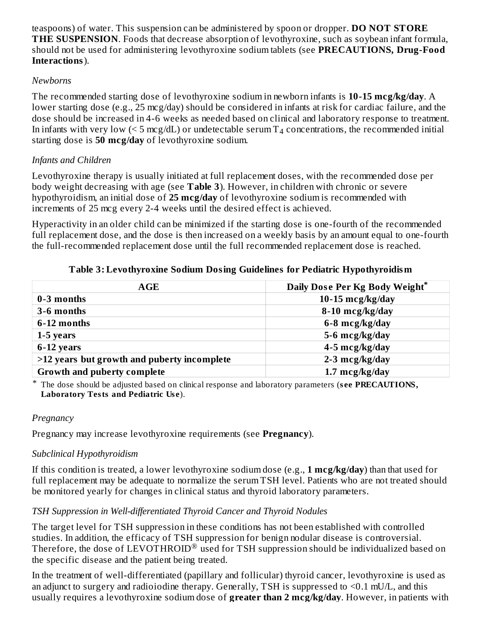teaspoons) of water. This suspension can be administered by spoon or dropper. **DO NOT STORE THE SUSPENSION**. Foods that decrease absorption of levothyroxine, such as soybean infant formula, should not be used for administering levothyroxine sodium tablets (see **PRECAUTIONS, Drug-Food Interactions**).

#### *Newborns*

The recommended starting dose of levothyroxine sodium in newborn infants is **10-15 mcg/kg/day**. A lower starting dose (e.g., 25 mcg/day) should be considered in infants at risk for cardiac failure, and the dose should be increased in 4-6 weeks as needed based on clinical and laboratory response to treatment. In infants with very low (< 5 mcg/dL) or undetectable serum T<sub>4</sub> concentrations, the recommended initial starting dose is **50 mcg/day** of levothyroxine sodium.

## *Infants and Children*

Levothyroxine therapy is usually initiated at full replacement doses, with the recommended dose per body weight decreasing with age (see **Table 3**). However, in children with chronic or severe hypothyroidism, an initial dose of **25 mcg/day** of levothyroxine sodium is recommended with increments of 25 mcg every 2-4 weeks until the desired effect is achieved.

Hyperactivity in an older child can be minimized if the starting dose is one-fourth of the recommended full replacement dose, and the dose is then increased on a weekly basis by an amount equal to one-fourth the full-recommended replacement dose until the full recommended replacement dose is reached.

| AGE                                         | Daily Dose Per Kg Body Weight* |
|---------------------------------------------|--------------------------------|
| 0-3 months                                  | 10-15 $mcg/kg/day$             |
| 3-6 months                                  | 8-10 mcg/kg/day                |
| 6-12 months                                 | $6-8$ mcg/kg/day               |
| 1-5 years                                   | 5-6 mcg/kg/day                 |
| 6-12 years                                  | 4-5 mcg/kg/day                 |
| >12 years but growth and puberty incomplete | $2-3$ mcg/kg/day               |
| <b>Growth and puberty complete</b>          | 1.7 $mcg/kg/day$               |

**Table 3: Levothyroxine Sodium Dosing Guidelines for Pediatric Hypothyroidism**

\* The dose should be adjusted based on clinical response and laboratory parameters (**s ee PRECAUTIONS, Laboratory Tests and Pediatric Us e**).

## *Pregnancy*

Pregnancy may increase levothyroxine requirements (see **Pregnancy**).

# *Subclinical Hypothyroidism*

If this condition is treated, a lower levothyroxine sodium dose (e.g., **1 mcg/kg/day**) than that used for full replacement may be adequate to normalize the serum TSH level. Patients who are not treated should be monitored yearly for changes in clinical status and thyroid laboratory parameters.

# *TSH Suppression in Well-differentiated Thyroid Cancer and Thyroid Nodules*

The target level for TSH suppression in these conditions has not been established with controlled studies. In addition, the efficacy of TSH suppression for benign nodular disease is controversial. Therefore, the dose of LEVOTHROID<sup>®</sup> used for TSH suppression should be individualized based on the specific disease and the patient being treated.

In the treatment of well-differentiated (papillary and follicular) thyroid cancer, levothyroxine is used as an adjunct to surgery and radioiodine therapy. Generally, TSH is suppressed to <0.1 mU/L, and this usually requires a levothyroxine sodium dose of **greater than 2 mcg/kg/day**. However, in patients with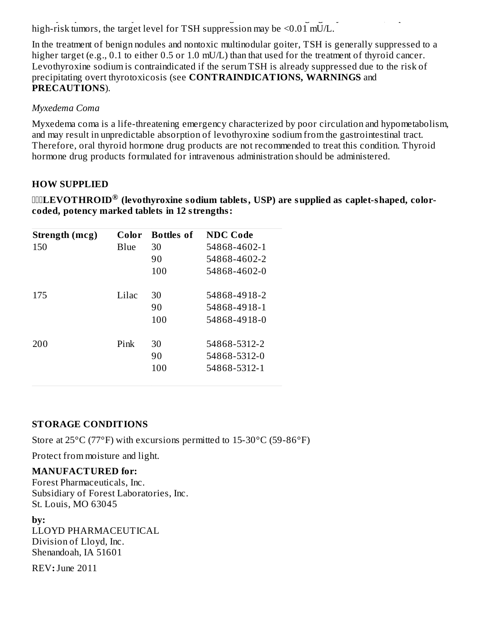usually requires a levothyroxine sodium dose of **greater than 2 mcg/kg/day**. However, in patients with high-risk tumors, the target level for TSH suppression may be <0.01 mU/L.

In the treatment of benign nodules and nontoxic multinodular goiter, TSH is generally suppressed to a higher target (e.g., 0.1 to either 0.5 or 1.0 mU/L) than that used for the treatment of thyroid cancer. Levothyroxine sodium is contraindicated if the serum TSH is already suppressed due to the risk of precipitating overt thyrotoxicosis (see **CONTRAINDICATIONS, WARNINGS** and **PRECAUTIONS**).

#### *Myxedema Coma*

Myxedema coma is a life-threatening emergency characterized by poor circulation and hypometabolism, and may result in unpredictable absorption of levothyroxine sodium from the gastrointestinal tract. Therefore, oral thyroid hormone drug products are not recommended to treat this condition. Thyroid hormone drug products formulated for intravenous administration should be administered.

#### **HOW SUPPLIED**

**LEVOTHROID (levothyroxine sodium tablets, USP) are supplied as caplet-shaped, color-®coded, potency marked tablets in 12 strengths:**

| Strength (mcg) | Color        | <b>Bottles of</b> | <b>NDC Code</b> |
|----------------|--------------|-------------------|-----------------|
| 150            | <b>B</b> lue | 30                | 54868-4602-1    |
|                |              | 90                | 54868-4602-2    |
|                |              | 100               | 54868-4602-0    |
| 175            | Lilac        | 30                | 54868-4918-2    |
|                |              | 90                | 54868-4918-1    |
|                |              | 100               | 54868-4918-0    |
| 200            | Pink         | 30                | 54868-5312-2    |
|                |              | 90                | 54868-5312-0    |
|                |              | 100               | 54868-5312-1    |

#### **STORAGE CONDITIONS**

Store at 25°C (77°F) with excursions permitted to 15-30°C (59-86°F)

Protect from moisture and light.

#### **MANUFACTURED for:**

Forest Pharmaceuticals, Inc. Subsidiary of Forest Laboratories, Inc. St. Louis, MO 63045

#### **by:**

LLOYD PHARMACEUTICAL Division of Lloyd, Inc. Shenandoah, IA 51601

REV**:**June 2011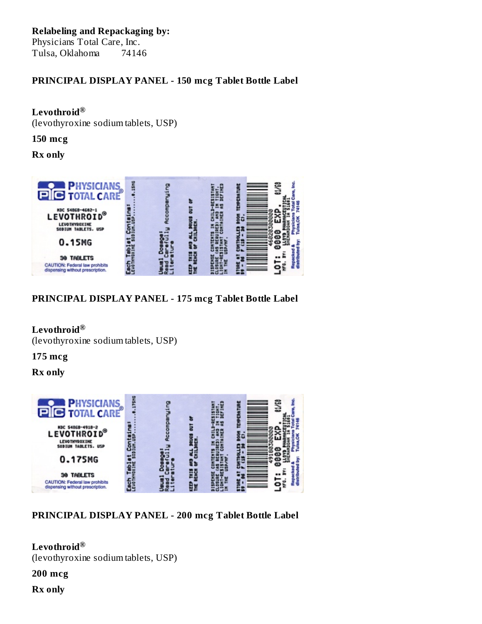**Relabeling and Repackaging by:** Physicians Total Care, Inc. Tulsa, Oklahoma 74146

#### **PRINCIPAL DISPLAY PANEL - 150 mcg Tablet Bottle Label**

#### **Levothroid ®**

(levothyroxine sodium tablets, USP)

**150 mcg**

**Rx only**



### **PRINCIPAL DISPLAY PANEL - 175 mcg Tablet Bottle Label**

#### **Levothroid ®**

(levothyroxine sodium tablets, USP)

**175 mcg**

**Rx only**



**PRINCIPAL DISPLAY PANEL - 200 mcg Tablet Bottle Label**

#### **Levothroid ®**

(levothyroxine sodium tablets, USP)

**200 mcg**

**Rx only**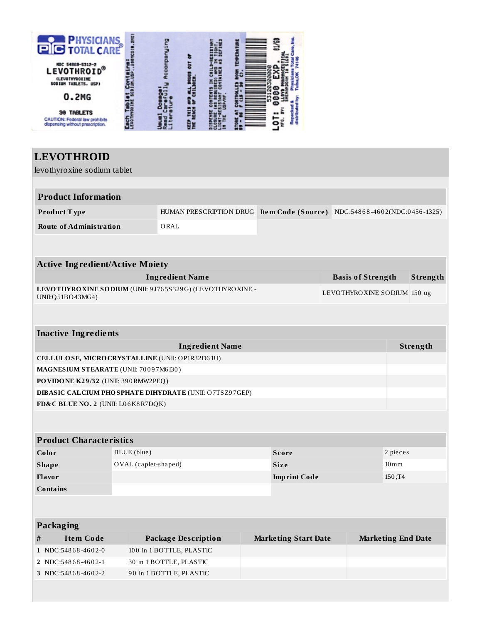

# **LEVOTHROID**

levothyroxine sodium tablet

| Jevollivroxille souluili tablet                 |                      |                                                                          |                     |                             |                    |          |
|-------------------------------------------------|----------------------|--------------------------------------------------------------------------|---------------------|-----------------------------|--------------------|----------|
|                                                 |                      |                                                                          |                     |                             |                    |          |
| <b>Product Information</b>                      |                      |                                                                          |                     |                             |                    |          |
| Product Type                                    |                      | HUMAN PRESCRIPTION DRUG Item Code (Source) NDC:54868-4602(NDC:0456-1325) |                     |                             |                    |          |
| <b>Route of Administration</b>                  |                      | ORAL                                                                     |                     |                             |                    |          |
|                                                 |                      |                                                                          |                     |                             |                    |          |
| <b>Active Ingredient/Active Moiety</b>          |                      |                                                                          |                     |                             |                    |          |
|                                                 |                      |                                                                          |                     |                             |                    |          |
|                                                 |                      | <b>Ingredient Name</b>                                                   |                     | <b>Basis of Strength</b>    |                    | Strength |
| UNII:Q51BO43MG4)                                |                      | LEVOTHYRO XINE SODIUM (UNII: 9J765S329G) (LEVOTHYROXINE -                |                     | LEVOTHYROXINE SODIUM 150 ug |                    |          |
|                                                 |                      |                                                                          |                     |                             |                    |          |
|                                                 |                      |                                                                          |                     |                             |                    |          |
| <b>Inactive Ingredients</b>                     |                      |                                                                          |                     |                             |                    |          |
|                                                 |                      | <b>Ingredient Name</b>                                                   |                     |                             |                    | Strength |
| CELLULOSE, MICRO CRYSTALLINE (UNII: OP1R32D61U) |                      |                                                                          |                     |                             |                    |          |
| MAGNESIUM STEARATE (UNII: 70097M6I30)           |                      |                                                                          |                     |                             |                    |          |
| PO VIDO NE K29/32 (UNII: 390 RMW2PEQ)           |                      |                                                                          |                     |                             |                    |          |
|                                                 |                      | <b>DIBASIC CALCIUM PHO SPHATE DIHYDRATE (UNII: O7TSZ97GEP)</b>           |                     |                             |                    |          |
| FD&C BLUE NO. 2 (UNII: L06K8R7DQK)              |                      |                                                                          |                     |                             |                    |          |
|                                                 |                      |                                                                          |                     |                             |                    |          |
|                                                 |                      |                                                                          |                     |                             |                    |          |
| <b>Product Characteristics</b>                  |                      |                                                                          |                     |                             |                    |          |
| Color                                           | BLUE (blue)          |                                                                          | <b>Score</b>        |                             | 2 pieces           |          |
| <b>Shape</b>                                    | OVAL (caplet-shaped) |                                                                          | <b>Size</b>         |                             | $10 \,\mathrm{mm}$ |          |
| Flavor                                          |                      |                                                                          | <b>Imprint Code</b> |                             | 150;T4             |          |
| <b>Contains</b>                                 |                      |                                                                          |                     |                             |                    |          |

#### **Packaging**

| # | Item Code            | <b>Package Description</b> | <b>Marketing Start Date</b> | <b>Marketing End Date</b> |
|---|----------------------|----------------------------|-----------------------------|---------------------------|
|   | $1$ NDC:54868-4602-0 | 100 in 1 BOTTLE, PLASTIC   |                             |                           |
|   | 2 NDC:54868-4602-1   | 30 in 1 BOTTLE, PLASTIC    |                             |                           |
|   | 3 NDC:54868-4602-2   | 90 in 1 BOTTLE, PLASTIC    |                             |                           |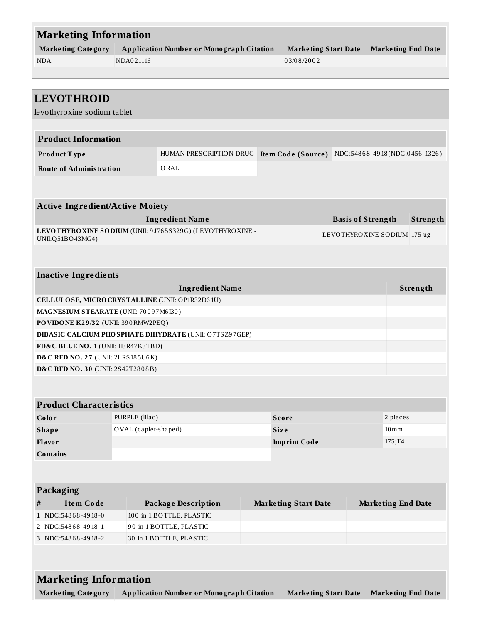| <b>Marketing Information</b>                                                             |                                                                          |                                                            |  |                             |                                                          |                                |          |  |
|------------------------------------------------------------------------------------------|--------------------------------------------------------------------------|------------------------------------------------------------|--|-----------------------------|----------------------------------------------------------|--------------------------------|----------|--|
| <b>Marketing Category</b>                                                                | <b>Application Number or Monograph Citation</b>                          |                                                            |  |                             | <b>Marketing End Date</b><br><b>Marketing Start Date</b> |                                |          |  |
| <b>NDA</b>                                                                               | NDA021116                                                                | 03/08/2002                                                 |  |                             |                                                          |                                |          |  |
|                                                                                          |                                                                          |                                                            |  |                             |                                                          |                                |          |  |
|                                                                                          |                                                                          |                                                            |  |                             |                                                          |                                |          |  |
| <b>LEVOTHROID</b>                                                                        |                                                                          |                                                            |  |                             |                                                          |                                |          |  |
| levothyroxine sodium tablet                                                              |                                                                          |                                                            |  |                             |                                                          |                                |          |  |
|                                                                                          |                                                                          |                                                            |  |                             |                                                          |                                |          |  |
| <b>Product Information</b>                                                               |                                                                          |                                                            |  |                             |                                                          |                                |          |  |
| Product Type                                                                             | HUMAN PRESCRIPTION DRUG Item Code (Source) NDC:54868-4918(NDC:0456-1326) |                                                            |  |                             |                                                          |                                |          |  |
| <b>Route of Administration</b>                                                           | ORAL                                                                     |                                                            |  |                             |                                                          |                                |          |  |
|                                                                                          |                                                                          |                                                            |  |                             |                                                          |                                |          |  |
|                                                                                          |                                                                          |                                                            |  |                             |                                                          |                                |          |  |
| <b>Active Ingredient/Active Moiety</b>                                                   |                                                                          |                                                            |  |                             |                                                          |                                |          |  |
|                                                                                          |                                                                          | <b>Ingredient Name</b>                                     |  |                             | <b>Basis of Strength</b>                                 |                                | Strength |  |
|                                                                                          |                                                                          | LEVOTHYRO XINE SODIUM (UNII: 9J765S329G) (LEVOTHYRO XINE - |  |                             | LEVOTHYROXINE SODIUM 175 ug                              |                                |          |  |
| UNII:Q51BO43MG4)                                                                         |                                                                          |                                                            |  |                             |                                                          |                                |          |  |
|                                                                                          |                                                                          |                                                            |  |                             |                                                          |                                |          |  |
| <b>Inactive Ingredients</b>                                                              |                                                                          |                                                            |  |                             |                                                          |                                |          |  |
|                                                                                          |                                                                          | <b>Ingredient Name</b>                                     |  |                             |                                                          |                                | Strength |  |
|                                                                                          |                                                                          |                                                            |  |                             |                                                          |                                |          |  |
| CELLULOSE, MICRO CRYSTALLINE (UNII: OP1R32D61U)<br>MAGNESIUM STEARATE (UNII: 70097M6I30) |                                                                          |                                                            |  |                             |                                                          |                                |          |  |
| PO VIDO NE K29/32 (UNII: 390 RMW2PEQ)                                                    |                                                                          |                                                            |  |                             |                                                          |                                |          |  |
|                                                                                          |                                                                          | DIBASIC CALCIUM PHOSPHATE DIHYDRATE (UNII: O7TSZ97GEP)     |  |                             |                                                          |                                |          |  |
| FD&C BLUE NO. 1 (UNII: H3R47K3TBD)                                                       |                                                                          |                                                            |  |                             |                                                          |                                |          |  |
| D&C RED NO. 27 (UNII: 2LRS 185U6K)                                                       |                                                                          |                                                            |  |                             |                                                          |                                |          |  |
| <b>D&amp;C RED NO. 30 (UNII: 2S42T2808B)</b>                                             |                                                                          |                                                            |  |                             |                                                          |                                |          |  |
|                                                                                          |                                                                          |                                                            |  |                             |                                                          |                                |          |  |
|                                                                                          |                                                                          |                                                            |  |                             |                                                          |                                |          |  |
| <b>Product Characteristics</b>                                                           |                                                                          |                                                            |  |                             |                                                          |                                |          |  |
| Color<br><b>Shape</b>                                                                    | PURPLE (lilac)<br><b>Score</b><br>OVAL (caplet-shaped)<br><b>Size</b>    |                                                            |  |                             |                                                          | 2 pieces<br>$10 \,\mathrm{mm}$ |          |  |
| Flavor                                                                                   |                                                                          |                                                            |  | <b>Imprint Code</b>         |                                                          |                                | 175;T4   |  |
| <b>Contains</b>                                                                          |                                                                          |                                                            |  |                             |                                                          |                                |          |  |
|                                                                                          |                                                                          |                                                            |  |                             |                                                          |                                |          |  |
|                                                                                          |                                                                          |                                                            |  |                             |                                                          |                                |          |  |
| Packaging                                                                                |                                                                          |                                                            |  |                             |                                                          |                                |          |  |
| <b>Item Code</b><br>$\#$                                                                 |                                                                          | <b>Package Description</b>                                 |  | <b>Marketing Start Date</b> |                                                          | <b>Marketing End Date</b>      |          |  |
| 1 NDC:54868-4918-0                                                                       |                                                                          | 100 in 1 BOTTLE, PLASTIC                                   |  |                             |                                                          |                                |          |  |
| 2 NDC:54868-4918-1                                                                       |                                                                          | 90 in 1 BOTTLE, PLASTIC                                    |  |                             |                                                          |                                |          |  |
| 3 NDC:54868-4918-2                                                                       |                                                                          | 30 in 1 BOTTLE, PLASTIC                                    |  |                             |                                                          |                                |          |  |
|                                                                                          |                                                                          |                                                            |  |                             |                                                          |                                |          |  |
|                                                                                          |                                                                          |                                                            |  |                             |                                                          |                                |          |  |
| <b>Marketing Information</b>                                                             |                                                                          |                                                            |  |                             |                                                          |                                |          |  |
| <b>Marketing Category</b>                                                                |                                                                          | <b>Application Number or Monograph Citation</b>            |  |                             | <b>Marketing Start Date</b>                              | <b>Marketing End Date</b>      |          |  |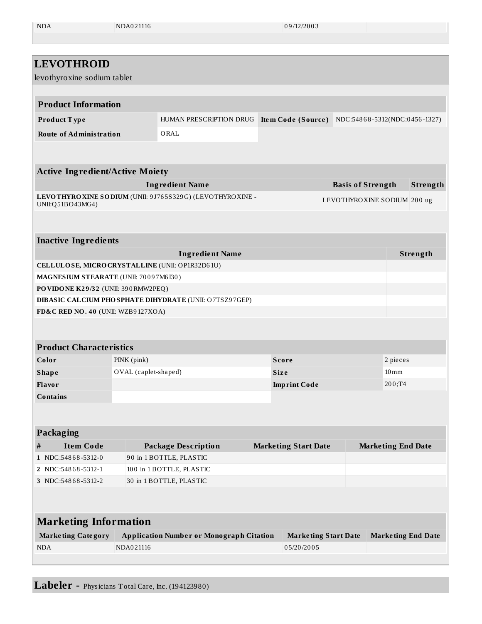NDA0 21116 09/12/2003

| <b>LEVOTHROID</b>                              |                                                 |                                                            |                     |                                                  |                             |                           |          |
|------------------------------------------------|-------------------------------------------------|------------------------------------------------------------|---------------------|--------------------------------------------------|-----------------------------|---------------------------|----------|
| levothyroxine sodium tablet                    |                                                 |                                                            |                     |                                                  |                             |                           |          |
|                                                |                                                 |                                                            |                     |                                                  |                             |                           |          |
| <b>Product Information</b>                     |                                                 |                                                            |                     |                                                  |                             |                           |          |
| Product Type                                   |                                                 | HUMAN PRESCRIPTION DRUG                                    |                     | Item Code (Source) NDC:54868-5312(NDC:0456-1327) |                             |                           |          |
| <b>Route of Administration</b>                 |                                                 | ORAL                                                       |                     |                                                  |                             |                           |          |
|                                                |                                                 |                                                            |                     |                                                  |                             |                           |          |
|                                                |                                                 |                                                            |                     |                                                  |                             |                           |          |
| <b>Active Ingredient/Active Moiety</b>         |                                                 |                                                            |                     |                                                  |                             |                           |          |
| <b>Ingredient Name</b>                         |                                                 |                                                            |                     |                                                  | <b>Basis of Strength</b>    |                           | Strength |
| UNII:Q51BO43MG4)                               |                                                 | LEVOTHYRO XINE SODIUM (UNII: 9J765S329G) (LEVOTHYRO XINE - |                     |                                                  | LEVOTHYROXINE SODIUM 200 ug |                           |          |
|                                                |                                                 |                                                            |                     |                                                  |                             |                           |          |
|                                                |                                                 |                                                            |                     |                                                  |                             |                           |          |
| <b>Inactive Ingredients</b>                    |                                                 |                                                            |                     |                                                  |                             |                           |          |
|                                                |                                                 | <b>Ingredient Name</b>                                     |                     |                                                  |                             |                           | Strength |
|                                                | CELLULOSE, MICRO CRYSTALLINE (UNII: OP1R32D61U) |                                                            |                     |                                                  |                             |                           |          |
| MAGNESIUM STEARATE (UNII: 70097M6I30)          |                                                 |                                                            |                     |                                                  |                             |                           |          |
| PO VIDO NE K29/32 (UNII: 390 RMW2PEQ)          |                                                 |                                                            |                     |                                                  |                             |                           |          |
| FD&C RED NO. 40 (UNII: WZB9127XOA)             |                                                 | DIBASIC CALCIUM PHOSPHATE DIHYDRATE (UNII: O7TSZ97GEP)     |                     |                                                  |                             |                           |          |
|                                                |                                                 |                                                            |                     |                                                  |                             |                           |          |
|                                                |                                                 |                                                            |                     |                                                  |                             |                           |          |
| <b>Product Characteristics</b>                 |                                                 |                                                            |                     |                                                  |                             |                           |          |
| Color                                          | PINK (pink)<br><b>Score</b>                     |                                                            |                     |                                                  | 2 pieces                    |                           |          |
| <b>Shape</b>                                   | OVAL (caplet-shaped)                            |                                                            | <b>Size</b>         |                                                  | $10 \,\mathrm{mm}$          |                           |          |
| <b>Flavor</b>                                  |                                                 |                                                            | <b>Imprint Code</b> |                                                  | 200;T4                      |                           |          |
| <b>Contains</b>                                |                                                 |                                                            |                     |                                                  |                             |                           |          |
|                                                |                                                 |                                                            |                     |                                                  |                             |                           |          |
|                                                |                                                 |                                                            |                     |                                                  |                             |                           |          |
| Packaging                                      |                                                 |                                                            |                     |                                                  |                             |                           |          |
| <b>Item Code</b><br>$\#$<br>1 NDC:54868-5312-0 |                                                 | <b>Package Description</b><br>90 in 1 BOTTLE, PLASTIC      |                     | <b>Marketing Start Date</b>                      |                             | <b>Marketing End Date</b> |          |
| 2 NDC:54868-5312-1                             |                                                 | 100 in 1 BOTTLE, PLASTIC                                   |                     |                                                  |                             |                           |          |
| 3 NDC:54868-5312-2                             |                                                 | 30 in 1 BOTTLE, PLASTIC                                    |                     |                                                  |                             |                           |          |
|                                                |                                                 |                                                            |                     |                                                  |                             |                           |          |
|                                                |                                                 |                                                            |                     |                                                  |                             |                           |          |
| <b>Marketing Information</b>                   |                                                 |                                                            |                     |                                                  |                             |                           |          |
| <b>Marketing Category</b>                      |                                                 | <b>Application Number or Monograph Citation</b>            |                     | <b>Marketing Start Date</b>                      |                             | <b>Marketing End Date</b> |          |
| <b>NDA</b>                                     | NDA021116                                       |                                                            |                     | 05/20/2005                                       |                             |                           |          |
|                                                |                                                 |                                                            |                     |                                                  |                             |                           |          |